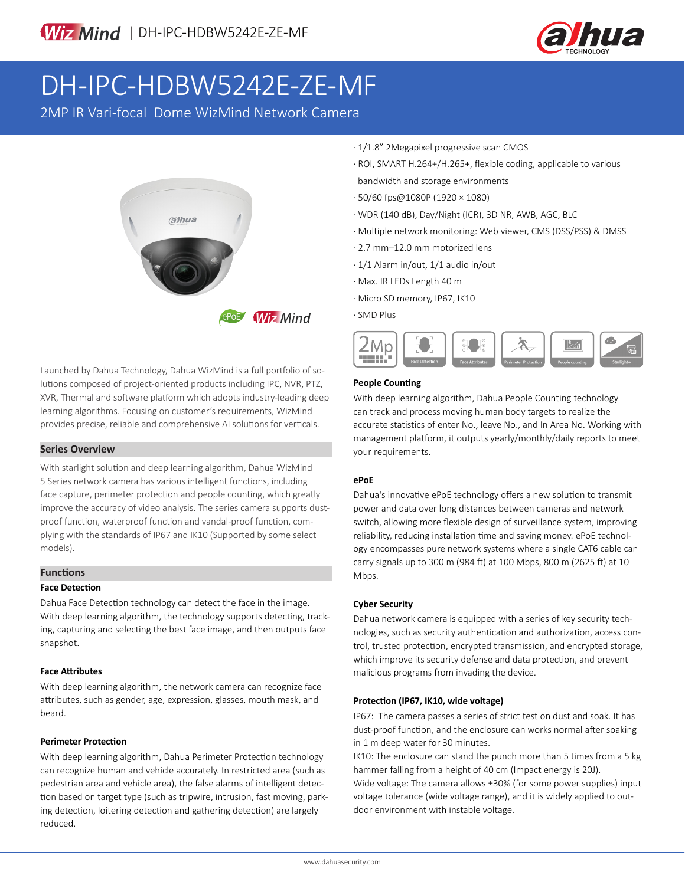

# DH-IPC-HDBW5242E-ZE-MF

2MP IR Vari-focal Dome WizMind Network Camera



Launched by Dahua Technology, Dahua WizMind is a full portfolio of solutions composed of project-oriented products including IPC, NVR, PTZ, XVR, Thermal and software platform which adopts industry-leading deep learning algorithms. Focusing on customer's requirements, WizMind provides precise, reliable and comprehensive AI solutions for verticals.

#### **Series Overview**

With starlight solution and deep learning algorithm, Dahua WizMind 5 Series network camera has various intelligent functions, including face capture, perimeter protection and people counting, which greatly improve the accuracy of video analysis. The series camera supports dustproof function, waterproof function and vandal-proof function, complying with the standards of IP67 and IK10 (Supported by some select models).

# **Functions**

#### **Face Detection**

Dahua Face Detection technology can detect the face in the image. With deep learning algorithm, the technology supports detecting, tracking, capturing and selecting the best face image, and then outputs face snapshot.

#### **Face Attributes**

With deep learning algorithm, the network camera can recognize face attributes, such as gender, age, expression, glasses, mouth mask, and beard.

#### **Perimeter Protection**

With deep learning algorithm, Dahua Perimeter Protection technology can recognize human and vehicle accurately. In restricted area (such as pedestrian area and vehicle area), the false alarms of intelligent detection based on target type (such as tripwire, intrusion, fast moving, parking detection, loitering detection and gathering detection) are largely reduced.

- · 1/1.8" 2Megapixel progressive scan CMOS
- · ROI, SMART H.264+/H.265+, flexible coding, applicable to various bandwidth and storage environments
- · 50/60 fps@1080P (1920 × 1080)
- · WDR (140 dB), Day/Night (ICR), 3D NR, AWB, AGC, BLC
- · Multiple network monitoring: Web viewer, CMS (DSS/PSS) & DMSS
- · 2.7 mm–12.0 mm motorized lens
- · 1/1 Alarm in/out, 1/1 audio in/out
- · Max. IR LEDs Length 40 m
- · Micro SD memory, IP67, IK10

#### · SMD Plus



## **People Counting**

With deep learning algorithm, Dahua People Counting technology can track and process moving human body targets to realize the accurate statistics of enter No., leave No., and In Area No. Working with management platform, it outputs yearly/monthly/daily reports to meet your requirements.

# **ePoE**

Dahua's innovative ePoE technology offers a new solution to transmit power and data over long distances between cameras and network switch, allowing more flexible design of surveillance system, improving reliability, reducing installation time and saving money. ePoE technology encompasses pure network systems where a single CAT6 cable can carry signals up to 300 m (984 ft) at 100 Mbps, 800 m (2625 ft) at 10 Mbps.

#### **Cyber Security**

Dahua network camera is equipped with a series of key security technologies, such as security authentication and authorization, access control, trusted protection, encrypted transmission, and encrypted storage, which improve its security defense and data protection, and prevent malicious programs from invading the device.

#### **Protection (IP67, IK10, wide voltage)**

IP67: The camera passes a series of strict test on dust and soak. It has dust-proof function, and the enclosure can works normal after soaking in 1 m deep water for 30 minutes.

IK10: The enclosure can stand the punch more than 5 times from a 5 kg hammer falling from a height of 40 cm (Impact energy is 20J).

Wide voltage: The camera allows ±30% (for some power supplies) input voltage tolerance (wide voltage range), and it is widely applied to outdoor environment with instable voltage.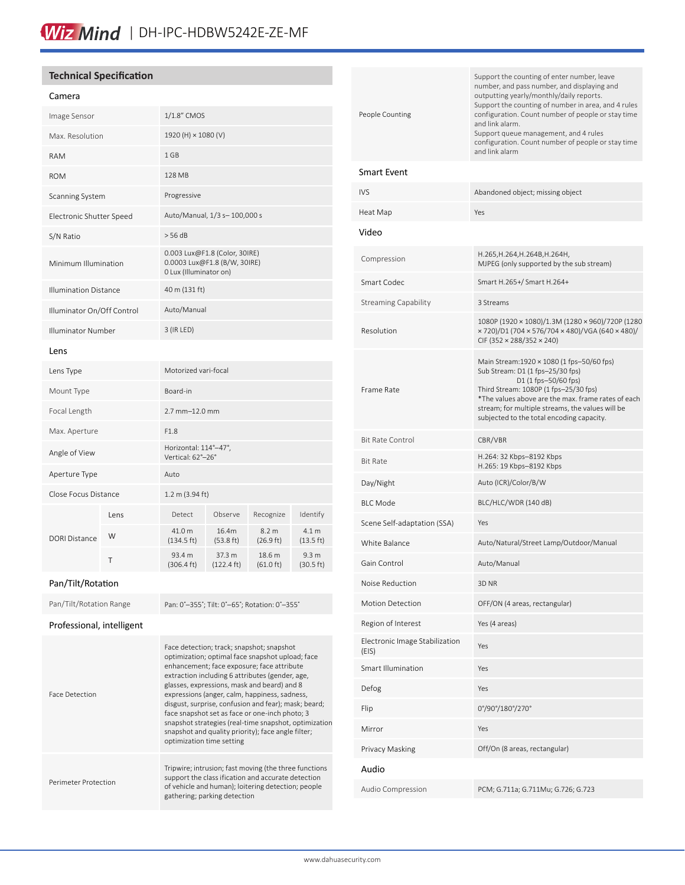# **Technical Specification**

#### Camera

| Image Sensor                 |      | 1/1.8" CMOS                                                                             |                                |                                         |                                         |
|------------------------------|------|-----------------------------------------------------------------------------------------|--------------------------------|-----------------------------------------|-----------------------------------------|
| Max. Resolution              |      | 1920 (H) × 1080 (V)                                                                     |                                |                                         |                                         |
| <b>RAM</b>                   |      | 1 GB                                                                                    |                                |                                         |                                         |
| <b>ROM</b>                   |      | 128 MB                                                                                  |                                |                                         |                                         |
| Scanning System              |      | Progressive                                                                             |                                |                                         |                                         |
| Electronic Shutter Speed     |      | Auto/Manual, 1/3 s-100,000 s                                                            |                                |                                         |                                         |
| S/N Ratio                    |      | > 56 dB                                                                                 |                                |                                         |                                         |
| Minimum Illumination         |      | 0.003 Lux@F1.8 (Color, 30IRE)<br>0.0003 Lux@F1.8 (B/W, 30IRE)<br>0 Lux (Illuminator on) |                                |                                         |                                         |
| <b>Illumination Distance</b> |      | 40 m (131 ft)                                                                           |                                |                                         |                                         |
| Illuminator On/Off Control   |      | Auto/Manual                                                                             |                                |                                         |                                         |
| Illuminator Number           |      | $3$ (IR LED)                                                                            |                                |                                         |                                         |
| Lens                         |      |                                                                                         |                                |                                         |                                         |
| Lens Type                    |      | Motorized vari-focal                                                                    |                                |                                         |                                         |
| Mount Type                   |      | Board-in                                                                                |                                |                                         |                                         |
| Focal Length                 |      | $2.7$ mm $-12.0$ mm                                                                     |                                |                                         |                                         |
| Max. Aperture                |      | F1.8                                                                                    |                                |                                         |                                         |
| Angle of View                |      | Horizontal: 114°-47°,<br>Vertical: 62°-26°                                              |                                |                                         |                                         |
| Aperture Type                |      | Auto                                                                                    |                                |                                         |                                         |
| Close Focus Distance         |      | $1.2 \text{ m}$ (3.94 ft)                                                               |                                |                                         |                                         |
| DORI Distance                | Lens | Detect                                                                                  | Observe                        | Recognize                               | Identify                                |
|                              | W    | 41.0 m<br>$(134.5 \text{ ft})$                                                          | 16.4m<br>$(53.8 \text{ ft})$   | 8.2 <sub>m</sub><br>$(26.9 \text{ ft})$ | 4.1 <sub>m</sub><br>$(13.5 \text{ ft})$ |
|                              | T    | 93.4 m<br>$(306.4 \text{ ft})$                                                          | 37.3 m<br>$(122.4 \text{ ft})$ | 18.6 m<br>$(61.0 \text{ ft})$           | 9.3 <sub>m</sub><br>(30.5 ft)           |

#### Pan/Tilt/Rotation

Pan/Tilt/Rotation Range Pan: 0°-355°; Tilt: 0°-65°; Rotation: 0°-355° Professional, intelligent Face Detection Face detection; track; snapshot; snapshot optimization; optimal face snapshot upload; face enhancement; face exposure; face attribute extraction including 6 attributes (gender, age, glasses, expressions, mask and beard) and 8 expressions (anger, calm, happiness, sadness, disgust, surprise, confusion and fear); mask; beard; face snapshot set as face or one-inch photo; 3 snapshot strategies (real-time snapshot, optimization snapshot and quality priority); face angle filter; optimization time setting Perimeter Protection Tripwire; intrusion; fast moving (the three functions support the class ification and accurate detection of vehicle and human); loitering detection; people gathering; parking detection

| People Counting                         | Support the counting of enter number, leave<br>number, and pass number, and displaying and<br>outputting yearly/monthly/daily reports.<br>Support the counting of number in area, and 4 rules<br>configuration. Count number of people or stay time<br>and link alarm.<br>Support queue management, and 4 rules<br>configuration. Count number of people or stay time<br>and link alarm |
|-----------------------------------------|-----------------------------------------------------------------------------------------------------------------------------------------------------------------------------------------------------------------------------------------------------------------------------------------------------------------------------------------------------------------------------------------|
| Smart Event                             |                                                                                                                                                                                                                                                                                                                                                                                         |
| IVS                                     | Abandoned object; missing object                                                                                                                                                                                                                                                                                                                                                        |
| Heat Map                                | Yes                                                                                                                                                                                                                                                                                                                                                                                     |
| Video                                   |                                                                                                                                                                                                                                                                                                                                                                                         |
| Compression                             | H.265,H.264,H.264B,H.264H,<br>MJPEG (only supported by the sub stream)                                                                                                                                                                                                                                                                                                                  |
| Smart Codec                             | Smart H.265+/ Smart H.264+                                                                                                                                                                                                                                                                                                                                                              |
| <b>Streaming Capability</b>             | 3 Streams                                                                                                                                                                                                                                                                                                                                                                               |
| Resolution                              | 1080P (1920 × 1080)/1.3M (1280 × 960)/720P (1280<br>× 720)/D1 (704 × 576/704 × 480)/VGA (640 × 480)/<br>CIF (352 × 288/352 × 240)                                                                                                                                                                                                                                                       |
| Frame Rate                              | Main Stream:1920 × 1080 (1 fps-50/60 fps)<br>Sub Stream: D1 (1 fps-25/30 fps)<br>D1 (1 fps-50/60 fps)<br>Third Stream: 1080P (1 fps-25/30 fps)<br>*The values above are the max. frame rates of each<br>stream; for multiple streams, the values will be<br>subjected to the total encoding capacity.                                                                                   |
| <b>Bit Rate Control</b>                 | CBR/VBR                                                                                                                                                                                                                                                                                                                                                                                 |
| Bit Rate                                | H.264: 32 Kbps–8192 Kbps<br>H.265: 19 Kbps-8192 Kbps                                                                                                                                                                                                                                                                                                                                    |
| Day/Night                               | Auto (ICR)/Color/B/W                                                                                                                                                                                                                                                                                                                                                                    |
| <b>BIC</b> Mode                         | BLC/HLC/WDR (140 dB)                                                                                                                                                                                                                                                                                                                                                                    |
| Scene Self-adaptation (SSA)             | Yes                                                                                                                                                                                                                                                                                                                                                                                     |
| White Balance                           | Auto/Natural/Street Lamp/Outdoor/Manual                                                                                                                                                                                                                                                                                                                                                 |
| Gain Control                            | Auto/Manual                                                                                                                                                                                                                                                                                                                                                                             |
| Noise Reduction                         | 3D <sub>NR</sub>                                                                                                                                                                                                                                                                                                                                                                        |
| <b>Motion Detection</b>                 | OFF/ON (4 areas, rectangular)                                                                                                                                                                                                                                                                                                                                                           |
| Region of Interest                      | Yes (4 areas)                                                                                                                                                                                                                                                                                                                                                                           |
| Electronic Image Stabilization<br>(EIS) | Yes                                                                                                                                                                                                                                                                                                                                                                                     |
| <b>Smart Illumination</b>               | Yes                                                                                                                                                                                                                                                                                                                                                                                     |
| Defog                                   | Yes                                                                                                                                                                                                                                                                                                                                                                                     |
| Flip                                    | 0°/90°/180°/270°                                                                                                                                                                                                                                                                                                                                                                        |
| Mirror                                  | Yes                                                                                                                                                                                                                                                                                                                                                                                     |
| Privacy Masking                         | Off/On (8 areas, rectangular)                                                                                                                                                                                                                                                                                                                                                           |
| Audio                                   |                                                                                                                                                                                                                                                                                                                                                                                         |
| Audio Compression                       | PCM; G.711a; G.711Mu; G.726; G.723                                                                                                                                                                                                                                                                                                                                                      |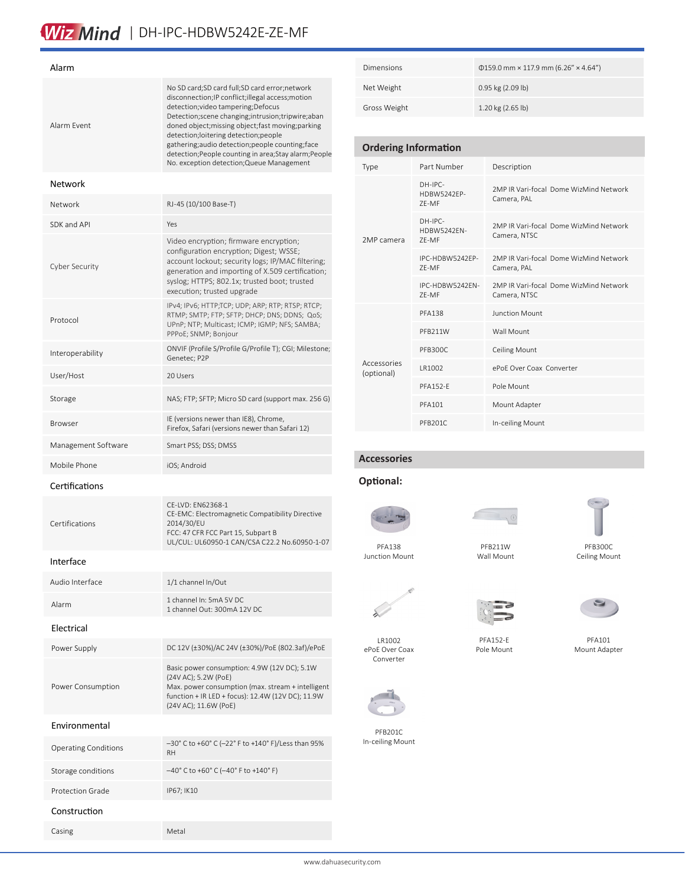# Wiz Mind | DH-IPC-HDBW5242E-ZE-MF

| Alarm                       |                                                                                                                                                                                                                                                                                                                                                                                                                                                              |  |  |  |  |
|-----------------------------|--------------------------------------------------------------------------------------------------------------------------------------------------------------------------------------------------------------------------------------------------------------------------------------------------------------------------------------------------------------------------------------------------------------------------------------------------------------|--|--|--|--|
| Alarm Fvent                 | No SD card;SD card full;SD card error;network<br>disconnection; IP conflict; illegal access; motion<br>detection; video tampering; Defocus<br>Detection; scene changing; intrusion; tripwire; aban<br>doned object; missing object; fast moving; parking<br>detection;loitering detection;people<br>gathering; audio detection; people counting; face<br>detection; People counting in area; Stay alarm; People<br>No. exception detection; Queue Management |  |  |  |  |
| Network                     |                                                                                                                                                                                                                                                                                                                                                                                                                                                              |  |  |  |  |
| Network                     | RJ-45 (10/100 Base-T)                                                                                                                                                                                                                                                                                                                                                                                                                                        |  |  |  |  |
| SDK and API                 | Yes                                                                                                                                                                                                                                                                                                                                                                                                                                                          |  |  |  |  |
| Cyber Security              | Video encryption; firmware encryption;<br>configuration encryption; Digest; WSSE;<br>account lockout; security logs; IP/MAC filtering;<br>generation and importing of X.509 certification;<br>syslog; HTTPS; 802.1x; trusted boot; trusted<br>execution; trusted upgrade                                                                                                                                                                                     |  |  |  |  |
| Protocol                    | IPv4; IPv6; HTTP;TCP; UDP; ARP; RTP; RTSP; RTCP;<br>RTMP; SMTP; FTP; SFTP; DHCP; DNS; DDNS; QoS;<br>UPnP; NTP; Multicast; ICMP; IGMP; NFS; SAMBA;<br>PPPoE; SNMP; Bonjour                                                                                                                                                                                                                                                                                    |  |  |  |  |
| Interoperability            | ONVIF (Profile S/Profile G/Profile T); CGI; Milestone;<br>Genetec; P2P                                                                                                                                                                                                                                                                                                                                                                                       |  |  |  |  |
| User/Host                   | 20 Users                                                                                                                                                                                                                                                                                                                                                                                                                                                     |  |  |  |  |
| Storage                     | NAS; FTP; SFTP; Micro SD card (support max. 256 G)                                                                                                                                                                                                                                                                                                                                                                                                           |  |  |  |  |
| <b>Browser</b>              | IE (versions newer than IE8), Chrome,<br>Firefox, Safari (versions newer than Safari 12)                                                                                                                                                                                                                                                                                                                                                                     |  |  |  |  |
| Management Software         | Smart PSS; DSS; DMSS                                                                                                                                                                                                                                                                                                                                                                                                                                         |  |  |  |  |
| Mobile Phone                | iOS; Android                                                                                                                                                                                                                                                                                                                                                                                                                                                 |  |  |  |  |
| Certifications              |                                                                                                                                                                                                                                                                                                                                                                                                                                                              |  |  |  |  |
| Certifications              | CE-LVD: EN62368-1<br>CE-EMC: Electromagnetic Compatibility Directive<br>2014/30/EU<br>FCC: 47 CFR FCC Part 15, Subpart B<br>UL/CUL: UL60950-1 CAN/CSA C22.2 No.60950-1-07                                                                                                                                                                                                                                                                                    |  |  |  |  |
| Interface                   |                                                                                                                                                                                                                                                                                                                                                                                                                                                              |  |  |  |  |
| Audio Interface             | 1/1 channel In/Out                                                                                                                                                                                                                                                                                                                                                                                                                                           |  |  |  |  |
| Alarm                       | 1 channel In: 5mA 5V DC<br>1 channel Out: 300mA 12V DC                                                                                                                                                                                                                                                                                                                                                                                                       |  |  |  |  |
| Electrical                  |                                                                                                                                                                                                                                                                                                                                                                                                                                                              |  |  |  |  |
| Power Supply                | DC 12V (±30%)/AC 24V (±30%)/PoE (802.3af)/ePoE                                                                                                                                                                                                                                                                                                                                                                                                               |  |  |  |  |
| Power Consumption           | Basic power consumption: 4.9W (12V DC); 5.1W<br>(24V AC); 5.2W (PoE)<br>Max. power consumption (max. stream + intelligent<br>function + IR LED + focus): 12.4W (12V DC); 11.9W<br>(24V AC); 11.6W (PoE)                                                                                                                                                                                                                                                      |  |  |  |  |
| Environmental               |                                                                                                                                                                                                                                                                                                                                                                                                                                                              |  |  |  |  |
| <b>Operating Conditions</b> | -30° C to +60° C (-22° F to +140° F)/Less than 95%<br>RH                                                                                                                                                                                                                                                                                                                                                                                                     |  |  |  |  |
| Storage conditions          | $-40^{\circ}$ C to +60° C (-40° F to +140° F)                                                                                                                                                                                                                                                                                                                                                                                                                |  |  |  |  |
| <b>Protection Grade</b>     | IP67; IK10                                                                                                                                                                                                                                                                                                                                                                                                                                                   |  |  |  |  |
| Construction                |                                                                                                                                                                                                                                                                                                                                                                                                                                                              |  |  |  |  |
| Casing                      | Metal                                                                                                                                                                                                                                                                                                                                                                                                                                                        |  |  |  |  |

| <b>Dimensions</b> | $\Phi$ 159.0 mm × 117.9 mm (6.26" × 4.64") |
|-------------------|--------------------------------------------|
| Net Weight        | 0.95 kg (2.09 lb)                          |
| Gross Weight      | 1.20 kg (2.65 lb)                          |

## **Ordering Information**

| Type                      | Part Number                              | Description                                            |  |  |
|---------------------------|------------------------------------------|--------------------------------------------------------|--|--|
| 2MP camera                | $DH-IPC-$<br><b>HDBW5242FP-</b><br>7F-MF | 2MP IR Vari-focal Dome WizMind Network<br>Camera, PAL  |  |  |
|                           | $DH-IPC-$<br>HDBW5242EN-<br>7F-MF        | 2MP IR Vari-focal Dome WizMind Network<br>Camera, NTSC |  |  |
|                           | IPC-HDBW5242FP-<br>7F-MF                 | 2MP IR Vari-focal Dome WizMind Network<br>Camera, PAL  |  |  |
|                           | IPC-HDBW5242FN-<br>7F-MF                 | 2MP IR Vari-focal Dome WizMind Network<br>Camera, NTSC |  |  |
| Accessories<br>(optional) | <b>PFA138</b>                            | Junction Mount                                         |  |  |
|                           | PFB211W                                  | Wall Mount                                             |  |  |
|                           | PFB300C                                  | <b>Ceiling Mount</b>                                   |  |  |
|                           | IR1002                                   | ePoF Over Coax, Converter                              |  |  |
|                           | <b>PFA152-F</b>                          | Pole Mount                                             |  |  |
|                           | PFA101                                   | Mount Adapter                                          |  |  |
|                           | PFB201C                                  | In-ceiling Mount                                       |  |  |

# **Accessories**

## **Optional:**



 PFA138 PFA138 Junction Mount

LR1002

Converter

 $\lambda$ 

In-ceiling mount In-ceiling Mount

ePoE Over Coax

PFB201C



Wall Mount





PFA152-E Pole Mount

Ceiling Mount



P<sub>T</sub><sub>a</sub><sup>1</sup> PFA101 PFA101 Mount adapter Mount Adapter